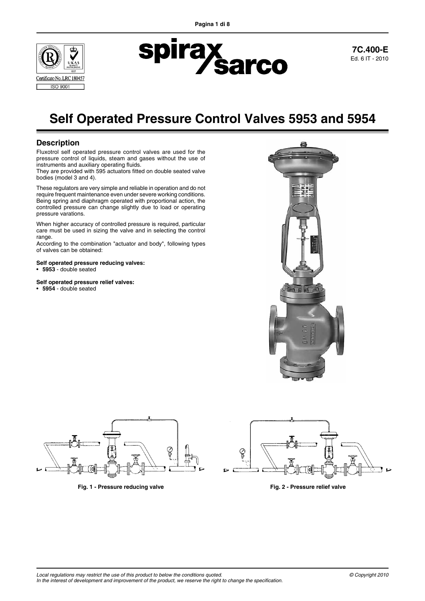



**7C.400-E** Ed. 6 IT - 2010

# **Self Operated Pressure Control Valves 5953 and 5954**

# **Description**

Fluxotrol self operated pressure control valves are used for the pressure control of liquids, steam and gases without the use of instruments and auxiliary operating fluids.

They are provided with 595 actuators fitted on double seated valve bodies (model 3 and 4).

These regulators are very simple and reliable in operation and do not require frequent maintenance even under severe working conditions. Being spring and diaphragm operated with proportional action, the controlled pressure can change slightly due to load or operating pressure varations.

When higher accuracy of controlled pressure is required, particular care must be used in sizing the valve and in selecting the control range.

According to the combination "actuator and body", following types of valves can be obtained:

#### **Self operated pressure reducing valves:**

• **5953** - double seated

#### **Self operated pressure relief valves:**

• **5954** - double seated





**Fig. 1 - Pressure reducing valve Fig. 2 - Pressure relief valve**



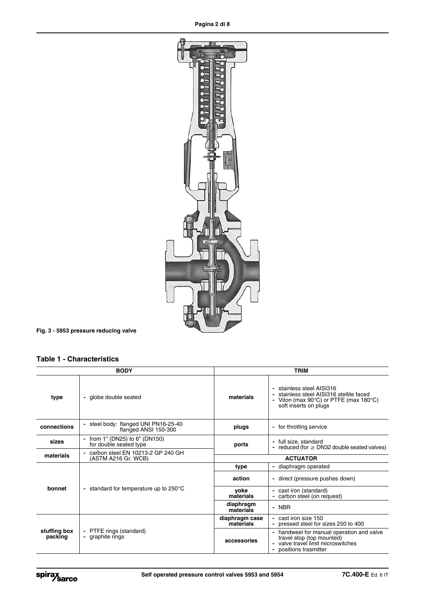

**Fig. 3 - 5953 pressure reducing valve**

# **Table 1 - Characteristics**

|                         | <b>BODY</b>                                                                            | <b>TRIM</b>                      |                                                                                                                                                        |  |  |  |
|-------------------------|----------------------------------------------------------------------------------------|----------------------------------|--------------------------------------------------------------------------------------------------------------------------------------------------------|--|--|--|
| type                    | globe double seated<br>$\overline{\phantom{a}}$                                        | materials                        | stainless steel AISI316<br>stainless steel AISI316 stellite faced<br>Viton (max $90^{\circ}$ C) or PTFE (max $180^{\circ}$ C)<br>soft inserts on plugs |  |  |  |
| connections             | steel body: flanged UNI PN16-25-40<br>$\overline{\phantom{0}}$<br>flanged ANSI 150-300 | - for throtting service<br>plugs |                                                                                                                                                        |  |  |  |
| sizes                   | from 1" (DN25) to 6" (DN150)<br>for double seated type                                 | ports                            | - full size, standard<br>- reduced (for $\geq$ DN32 double seated valves)                                                                              |  |  |  |
| materials               | - carbon steel EN 10213-2 GP 240 GH<br>(ASTM A216 Gr. WCB)                             | <b>ACTUATOR</b>                  |                                                                                                                                                        |  |  |  |
|                         |                                                                                        | type                             | - diaphragm operated                                                                                                                                   |  |  |  |
|                         |                                                                                        | action                           | - direct (pressure pushes down)                                                                                                                        |  |  |  |
| bonnet                  | standard for temperature up to 250°C<br>$\overline{\phantom{0}}$                       | voke<br>materials                | - cast iron (standard)<br>carbon steel (on request)<br>$\overline{\phantom{0}}$                                                                        |  |  |  |
|                         |                                                                                        | diaphragm<br>materials           | - NBR                                                                                                                                                  |  |  |  |
| stuffing box<br>packing |                                                                                        | diaphragm case<br>materials      | - cast iron size 150<br>pressed steel for sizes 250 to 400<br>$\overline{\phantom{0}}$                                                                 |  |  |  |
|                         | PTFE rings (standard)<br>graphite rings                                                | accessories                      | handweel for manual operation and valve<br>travel stop (top mounted)<br>- valve travel limit microswitches<br>positions trasmitter                     |  |  |  |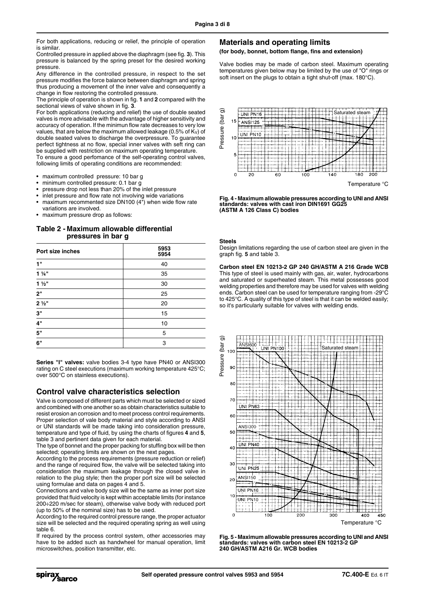For both applications, reducing or relief, the principle of operation is similar.

Controlled pressure in applied above the diaphragm (see fig. **3**). This pressure is balanced by the spring preset for the desired working pressure.

Any difference in the controlled pressure, in respect to the set pressure modifies the force balance between diaphragm and spring thus producing a movement of the inner valve and consequently a change in flow restoring the controlled pressure.

The principle of operation is shown in fig. **1** and **2** compared with the sectional views of valve shown in fig. **3**.

For both applications (reducing and relief) the use of double seated valves is more advisable with the advantage of higher sensitivity and accuracy of operation. If the minimun flow rate decreases to very low values, that are below the maximum allowed leakage (0.5% of  $K_V$ ) of double seated valves to discharge the overpressure. To guarantee perfect tightness at no flow, special inner valves with seft ring can be supplied with restriction on maximum operating temperature.

To ensure a good perfomance of the self-operating control valves, following limits of operating conditions are recommended:

- maximum controlled pressure: 10 bar g
- minimum controlled pressure: 0.1 bar g
- pressure drop not less than 20% of the inlet pressure
- inlet pressure and flow rate not involving wide variations
- maximum recommented size DN100  $(4")$  when wide flow rate variations are involved.
- maximum pressure drop as follows:

## **Table 2 - Maximum allowable differential pressures in bar g**

| Port size inches | 5953<br>5954 |
|------------------|--------------|
| 1"               | 40           |
| $1\frac{1}{4}$   | 35           |
| $1\frac{1}{2}$   | 30           |
| 2"               | 25           |
| $2\frac{1}{2}$ " | 20           |
| 3"               | 15           |
| 4"               | 10           |
| 5"               | 5            |
| 6"               | 3            |

**Series "I" valves:** valve bodies 3-4 type have PN40 or ANSI300 rating on C steel executions (maximum working temperature 425°C; over 500°C on stainless executions).

## **Control valve characteristics selection**

Valve is composed of different parts which must be selected or sized and combined with one another so as obtain characteristics suitable to resist erosion an corrosion and to meet process control requirements. Proper selection of vale body material and style according to ANSI or UNI standards will be made taking into consideration pressure, temperature and type of fluid, by using the charts of figures **4** and **5**, table 3 and pertinent data given for each material.

The type of bonnet and the proper packing for stuffing box will be then selected; operating limits are shown on the next pages.

According to the process requirements (pressure reduction or relief) and the range of required flow, the valve will be selected taking into consideration the maximum leakage through the closed valve in relation to the plug style; then the proper port size will be selected using formulae and data on pages 4 and 5.

Connections and valve body size will be the same as inner port size provided that fluid velocity is kept within acceptable limits (for instance 200÷220 m/sec for steam), otherwise valve body with reduced port (up to 50% of the nominal size) has to be used.

According to the required control pressure range, the proper actuator size will be selected and the required operating spring as well using table 6.

If required by the process control system, other accessories may have to be added such as handwheel for manual operation, limit microswitches, position transmitter, etc.

## **Materials and operating limits**

**(for body, bonnet, bottom flange, fins and extension)**

Valve bodies may be made of carbon steel. Maximum operating temperatures given below may be limited by the use of "O" rings or soft insert on the plugs to obtain a tight shut-off (max. 180°C).



**Fig. 4 - Maximum allowable pressures according to UNI and ANSI standards: valves with cast iron DIN1691 GG25 (ASTM A 126 Class C) bodies** 

#### **Steels**

Design limitations regarding the use of carbon steel are given in the graph fig. **5** and table 3.

**Carbon steel EN 10213-2 GP 240 GH/ASTM A 216 Grade WCB** This type of steel is used mainly with gas, air, water, hydrocarbons and saturated or superheated steam. This metal possesses good welding properties and therefore may be used for valves with welding ends. Carbon steel can be used for temperature ranging from -29°C to 425°C. A quality of this type of steel is that it can be welded easily; so it's particularly suitable for valves with welding ends.



**Fig. 5 - Maximum allowable pressures according to UNI and ANSI standards: valves with carbon steel EN 10213-2 GP 240 GH/ASTM A216 Gr. WCB bodies**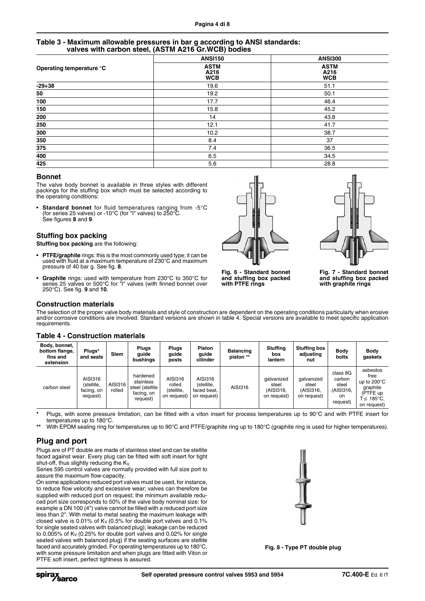## **Table 3 - Maximum allowable pressures in bar g according to ANSI standards: valves with carbon steel, (ASTM A216 Gr.WCB) bodies**

|                          | <b>ANSI150</b>                    | <b>ANSI300</b>                    |
|--------------------------|-----------------------------------|-----------------------------------|
| Operating temperature °C | <b>ASTM</b><br>A216<br><b>WCB</b> | <b>ASTM</b><br>A216<br><b>WCB</b> |
| $-29 \div 38$            | 19.6                              | 51.1                              |
| 50                       | 19.2                              | 50.1                              |
| 100                      | 17.7                              | 46.4                              |
| 150                      | 15.8                              | 45.2                              |
| 200                      | 14                                | 43.8                              |
| 250                      | 12.1                              | 41.7                              |
| 300                      | 10.2                              | 38.7                              |
| 350                      | 8.4                               | 37                                |
| 375                      | 7.4                               | 36.5                              |
| 400                      | 6.5                               | 34.5                              |
| 425                      | 5.6                               | 28.8                              |

## **Bonnet**

The valve body bonnet is available in three styles with different packings for the stuffing box which must be selected according to the operating conditions:

Standard bonnet for fluid temperatures ranging from -5°C (for series 25 valves) or -10°C (for "I" valves) to 250°C. See figures **8** and **9**.

## **Stuffing box packing**

**Stuffing box packing** are the following:

- **PTFE/graphite** rings: this is the most commonly used type; it can be used with fluid at a maximum temperature of 230°C and maximum pressure of 40 bar g. See fig. **8**.
- **Graphite** rings: used with temperature from 230°C to 350°C for series 25 valves or 500°C for "I" valves (with finned bonnet over 250°C). See fig. **9** and **10**.





**Fig. 6 - Standard bonnet and stuffing box packed with PTFE rings**

**Fig. 7 - Standard bonnet and stuffing box packed with graphite rings**

## **Construction materials**

The selection of the proper valve body materials and style of construction are dependent on the operating conditions particularly when erosive and/or corrosive conditions are involved. Standard versions are shown in table 4. Special versions are available to meet specific application requirements.

| Body, bonnet,<br>bottom flange,<br>fins and<br>extension | Plugs*<br>and seats                             | <b>Stem</b>       | <b>Plugs</b><br>quide<br>bushinas                                  | <b>Pluas</b><br>quide<br>posts                 | Piston<br>auide<br>cilinder                         | Balancing<br>piston ** | <b>Stuffing</b><br>box<br>lantern               | <b>Stuffing box</b><br>adjusting<br>nut         | <b>Body</b><br>bolts                                       | <b>Body</b><br>gaskets                                                                        |
|----------------------------------------------------------|-------------------------------------------------|-------------------|--------------------------------------------------------------------|------------------------------------------------|-----------------------------------------------------|------------------------|-------------------------------------------------|-------------------------------------------------|------------------------------------------------------------|-----------------------------------------------------------------------------------------------|
| carbon steel                                             | AISI316<br>(stellite,<br>facing, on<br>request) | AISI316<br>rolled | hardened<br>stainless<br>steel (stellite<br>facing, on<br>request) | AISI316<br>rolled<br>(stellite,<br>on request) | AISI316<br>(stellite,<br>faced beat,<br>on request) | AISI316                | galvanized<br>steel<br>(AISI316,<br>on request) | galvanized<br>steel<br>(AISI316,<br>on request) | class 8G<br>carbon<br>steel<br>(AISI316,<br>on<br>request) | asbestos<br>free<br>up to $200^{\circ}$ C<br>graphite<br>(PTFE up<br>T≤ 185°C.<br>on request) |

## **Table 4 - Construction materials**

**\*** Plugs, with some pressure limitation, can be fitted with a viton insert for process temperatures up to 90°C and with PTFE insert for temperatures up to 180°C.

**\*\*** With EPDM sealing ring for temperatures up to 90°C and PTFE/graphite ring up to 180°C (graphite ring is used for higher temperatures).

# **Plug and port**

Plugs are of PT double are made of stainless steel and can be stellite faced against wear. Every plug can be fitted with soft insert for tight shut-off, thus slightly reducing the Kv.

Series 595 control valves are normally provided with full size port to assure the maximum flow-capacity.

On some applications reduced port valves must be used, for instance, to reduce flow velocity and excessive wear; valves can therefore be supplied with reduced port on request; the minimum available reduced port size corresponds to 50% of the valve body nominal size: for example a DN 100 (4") valve cannot be filled with a reduced port size less than 2". With metal to metal seating the maximum leakage with closed valve is 0.01% of  $K_V$  (0.5% for double port valves and 0.1%) for single seated valves with balanced plug); leakage can be reduced to 0.005% of Kv (0.25% for double port valves and 0.02% for single seated valves with balanced plug) if the seating surfaces are stellite faced and accurately grinded. For operating temperatures up to 180°C, with some pressure limitation and when plugs are fitted with Viton or PTFE soft insert, perfect tightness is assured.



**Fig. 8 - Type PT double plug**

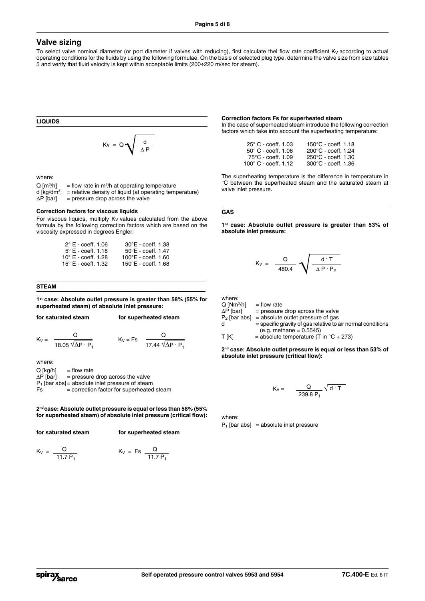## **Valve sizing**

To select valve nominal diameter (or port diameter if valves with reducing), first calculate thel flow rate coefficient  $K_V$  according to actual operating conditions for the fluids by using the following formulae. On the basis of selected plug type, determine the valve size from size tables 5 and verify that fluid velocity is kept within acceptable limits (200÷220 m/sec for steam).

**LIQUIDS**  $Kv = Q \sqrt{\frac{d}{\Delta P}}$ 

where:

 $Q$  [m<sup>3</sup>/h] /h]  $=$  flow rate in m<sup>3</sup>/h at operating temperature d [kg/dm3 ] = relative density of liquid (at operating temperature) ∆P [bar] = pressure drop across the valve

#### **Correction factors for viscous liquids**

For viscous liquids, multiply  $K_V$  values calculated from the above formula by the following correction factors which are based on the viscosity expressed in degrees Engler:

| $30^{\circ}$ E - coeff. 1.38        |
|-------------------------------------|
| $50^{\circ}$ E - coeff. 1.47        |
| $100^{\circ}E - \text{coeff.} 1.60$ |
| $150^{\circ}E - \text{coeff.} 1.68$ |
|                                     |

#### **STEAM**

**1st case: Absolute outlet pressure is greater than 58% (55% for superheated steam) of absolute inlet pressure:**

| for saturated steam | for superheated steam |
|---------------------|-----------------------|
|---------------------|-----------------------|

 $K_V =$   $\frac{Q}{\sqrt{Q}}$   $K_V = Fs$   $\frac{Q}{I}$ 18.05  $\sqrt{\Delta P} \cdot P_1$  17.44  $\sqrt{\Delta P} \cdot P_1$ 

where:

 $Q [kg/h]$  = flow rate<br> $\Delta P$ [bar] = pressure = pressure drop across the valve  $P_1$  [bar abs] = absolute inlet pressure of steam<br>  $F_s$  = correction factor for superheated = correction factor for superheated steam

**2nd case: Absolute outlet pressure is equal or less than 58% (55% for superheated steam) of absolute inlet pressure (critical flow):**

**for saturated steam for superheated steam**

$$
K_V = \frac{Q}{11.7 P_1}
$$
  $K_V = Fs \frac{Q}{11.7 P_1}$ 

#### **Correction factors Fs for superheated steam**

In the case of superheated steam introduce the following correction factors which take into account the superheating temperature:

| $25^{\circ}$ C - coeff. 1.03  | $150^{\circ}$ C - coeff. 1.18 |
|-------------------------------|-------------------------------|
| $50^\circ$ C - coeff. 1.06    | $200^{\circ}$ C - coeff. 1.24 |
| $75^{\circ}$ C - coeff. 1.09  | $250^{\circ}$ C - coeff. 1.30 |
| $100^{\circ}$ C - coeff. 1.12 | $300^{\circ}$ C - coeff. 1.36 |

The superheating temperature is the difference in temperature in °C between the superheated steam and the saturated steam at valve inlet pressure.

#### **GAS**

**1st case: Absolute outlet pressure is greater than 53% of absolute inlet pressure:**

$$
K_V = \frac{Q}{480.4} \sqrt{\frac{d \cdot T}{\Delta P \cdot P_2}}
$$

where:

 $Q$  [Nm<sup>3</sup>/h]<br> $\Delta P$  [bar]  $=$  flow rate  $=$  pressure drop across the valve  $P_2$  [bar abs] = absolute outlet pressure of gas<br>d = specific gravity of gas relative to a = specific gravity of gas relative to air normal conditions  $(e.g.$  methane =  $0.5545$ )  $T [K]$  = absolute temperature (T in °C + 273)

**2nd case: Absolute outlet pressure is equal or less than 53% of absolute inlet pressure (critical flow):**

$$
K_V = \frac{Q}{239.8 P_1} \sqrt{d \cdot T}
$$

where:

 $P_1$  [bar abs] = absolute inlet pressure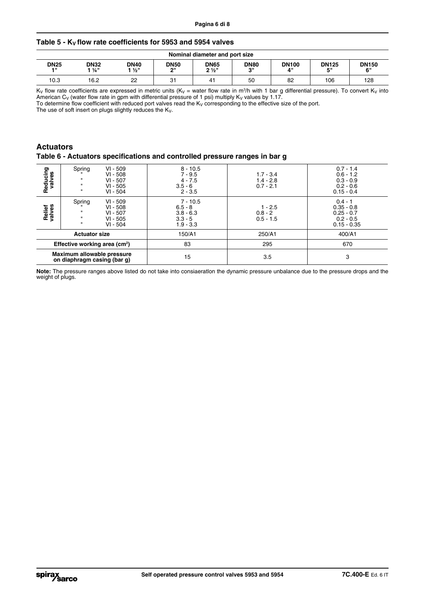# Table 5 - K<sub>V</sub> flow rate coefficients for 5953 and 5954 valves

|                     | Nominal diameter and port size |                     |                          |                               |                   |                    |                    |                    |  |
|---------------------|--------------------------------|---------------------|--------------------------|-------------------------------|-------------------|--------------------|--------------------|--------------------|--|
| <b>DN25</b><br>- 11 | <b>DN32</b><br>1 ¼"            | <b>DN40</b><br>1 ½" | <b>DN50</b><br><b>OH</b> | <b>DN65</b><br>$2\frac{1}{2}$ | <b>DN80</b><br>oш | <b>DN100</b><br>4" | <b>DN125</b><br>г" | <b>DN150</b><br>6" |  |
| 10.3                | 16.2                           | $\sim$<br>ے         | 31                       | 41                            | 50                | 82                 | 106                | 128                |  |

K<sub>V</sub> flow rate coefficients are expressed in metric units (K<sub>V</sub> = water flow rate in m<sup>3</sup>/h with 1 bar g differential pressure). To convert K<sub>V</sub> into American C<sub>V</sub> (water flow rate in gpm with differential pressure of 1 psi) multiply K<sub>V</sub> values by 1.17.

To determine flow coefficient with reduced port valves read the K<sub>V</sub> corresponding to the effective size of the port.

The use of soft insert on plugs slightly reduces the  $K_V$ .

# **Actuators**

## **Table 6 - Actuators specifications and controlled pressure ranges in bar g**

| Reducing<br>valves                                        | Spring<br>$\mathbf{u}$<br>$\mathbf{u}$<br>$\mathbf{u}$ | $VI - 509$<br>$8 - 10.5$<br>$VI - 508$<br>$7 - 9.5$<br>$VI - 507$<br>$4 - 7.5$<br>$VI - 505$<br>$3.5 - 6$<br>$VI - 504$<br>$2 - 3.5$ |                                                                    | $1.7 - 3.4$<br>$1.4 - 2.8$<br>$0.7 - 2.1$ | $0.7 - 1.4$<br>$0.6 - 1.2$<br>$0.3 - 0.9$<br>$0.2 - 0.6$<br>$0.15 - 0.4$  |  |  |
|-----------------------------------------------------------|--------------------------------------------------------|--------------------------------------------------------------------------------------------------------------------------------------|--------------------------------------------------------------------|-------------------------------------------|---------------------------------------------------------------------------|--|--|
| Relief<br>valves                                          | Spring<br>ш<br>$\mathbf{u}$<br>$\mathbf{u}$            | $VI - 509$<br>$VI - 508$<br>$VI - 507$<br>$VI - 505$<br>$VI - 504$                                                                   | $7 - 10.5$<br>$6.5 - 8$<br>$3.8 - 6.3$<br>$3.3 - 5$<br>$1.9 - 3.3$ | $1 - 2.5$<br>$0.8 - 2$<br>$0.5 - 1.5$     | $0.4 - 1$<br>$0.35 - 0.8$<br>$0.25 - 0.7$<br>$0.2 - 0.5$<br>$0.15 - 0.35$ |  |  |
|                                                           | <b>Actuator size</b>                                   |                                                                                                                                      | 150/A1                                                             | 250/A1                                    | 400/A1                                                                    |  |  |
| Effective working area (cm <sup>2</sup> )                 |                                                        | 83                                                                                                                                   | 295                                                                | 670                                       |                                                                           |  |  |
| Maximum allowable pressure<br>on diaphragm casing (bar g) |                                                        | 15                                                                                                                                   | 3.5                                                                | 3                                         |                                                                           |  |  |

**Note:** The pressure ranges above listed do not take into consiaeratlon the dynamic pressure unbalance due to the pressure drops and the weight of plugs.